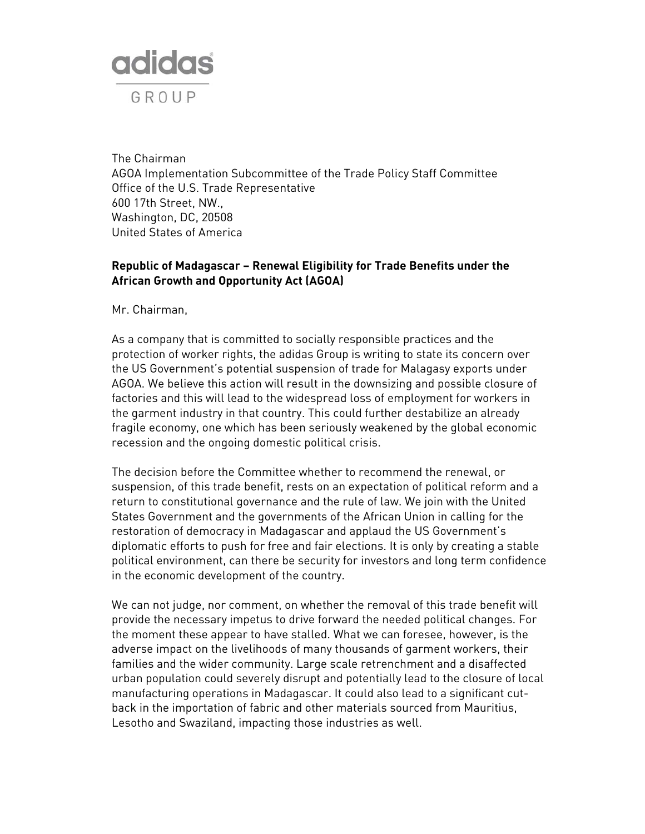

The Chairman AGOA Implementation Subcommittee of the Trade Policy Staff Committee Office of the U.S. Trade Representative 600 17th Street, NW., Washington, DC, 20508 United States of America

## **Republic of Madagascar – Renewal Eligibility for Trade Benefits under the African Growth and Opportunity Act (AGOA)**

Mr. Chairman,

As a company that is committed to socially responsible practices and the protection of worker rights, the adidas Group is writing to state its concern over the US Government's potential suspension of trade for Malagasy exports under AGOA. We believe this action will result in the downsizing and possible closure of factories and this will lead to the widespread loss of employment for workers in the garment industry in that country. This could further destabilize an already fragile economy, one which has been seriously weakened by the global economic recession and the ongoing domestic political crisis.

The decision before the Committee whether to recommend the renewal, or suspension, of this trade benefit, rests on an expectation of political reform and a return to constitutional governance and the rule of law. We join with the United States Government and the governments of the African Union in calling for the restoration of democracy in Madagascar and applaud the US Government's diplomatic efforts to push for free and fair elections. It is only by creating a stable political environment, can there be security for investors and long term confidence in the economic development of the country.

We can not judge, nor comment, on whether the removal of this trade benefit will provide the necessary impetus to drive forward the needed political changes. For the moment these appear to have stalled. What we can foresee, however, is the adverse impact on the livelihoods of many thousands of garment workers, their families and the wider community. Large scale retrenchment and a disaffected urban population could severely disrupt and potentially lead to the closure of local manufacturing operations in Madagascar. It could also lead to a significant cutback in the importation of fabric and other materials sourced from Mauritius, Lesotho and Swaziland, impacting those industries as well.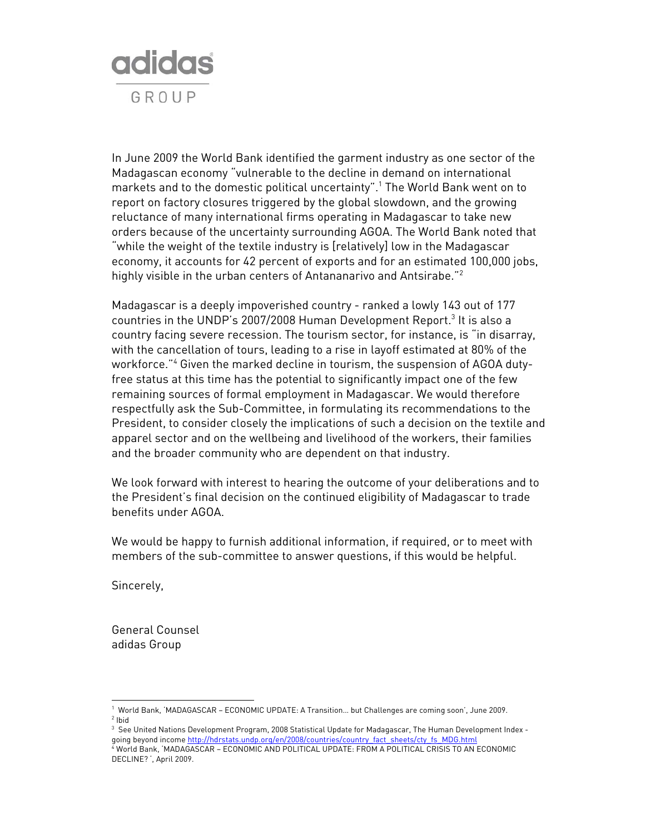

In June 2009 the World Bank identified the garment industry as one sector of the Madagascan economy "vulnerable to the decline in demand on international markets and to the domestic political uncertainty".1 The World Bank went on to report on factory closures triggered by the global slowdown, and the growing reluctance of many international firms operating in Madagascar to take new orders because of the uncertainty surrounding AGOA. The World Bank noted that "while the weight of the textile industry is [relatively] low in the Madagascar economy, it accounts for 42 percent of exports and for an estimated 100,000 jobs, highly visible in the urban centers of Antananarivo and Antsirabe."<sup>2</sup>

Madagascar is a deeply impoverished country - ranked a lowly 143 out of 177 countries in the UNDP's 2007/2008 Human Development Report.<sup>3</sup> It is also a country facing severe recession. The tourism sector, for instance, is "in disarray, with the cancellation of tours, leading to a rise in layoff estimated at 80% of the workforce."4 Given the marked decline in tourism, the suspension of AGOA dutyfree status at this time has the potential to significantly impact one of the few remaining sources of formal employment in Madagascar. We would therefore respectfully ask the Sub-Committee, in formulating its recommendations to the President, to consider closely the implications of such a decision on the textile and apparel sector and on the wellbeing and livelihood of the workers, their families and the broader community who are dependent on that industry.

We look forward with interest to hearing the outcome of your deliberations and to the President's final decision on the continued eligibility of Madagascar to trade benefits under AGOA.

We would be happy to furnish additional information, if required, or to meet with members of the sub-committee to answer questions, if this would be helpful.

Sincerely,

 $\overline{a}$ 

General Counsel adidas Group

<sup>1</sup> World Bank, 'MADAGASCAR – ECONOMIC UPDATE: A Transition… but Challenges are coming soon', June 2009. 2 Ibid

<sup>3</sup> See United Nations Development Program, 2008 Statistical Update for Madagascar, The Human Development Index going beyond income http://hdrstats.undp.org/en/2008/countries/country\_fact\_sheets/cty\_fs\_MDG.html

<sup>4</sup> World Bank, 'MADAGASCAR – ECONOMIC AND POLITICAL UPDATE: FROM A POLITICAL CRISIS TO AN ECONOMIC DECLINE? ', April 2009.